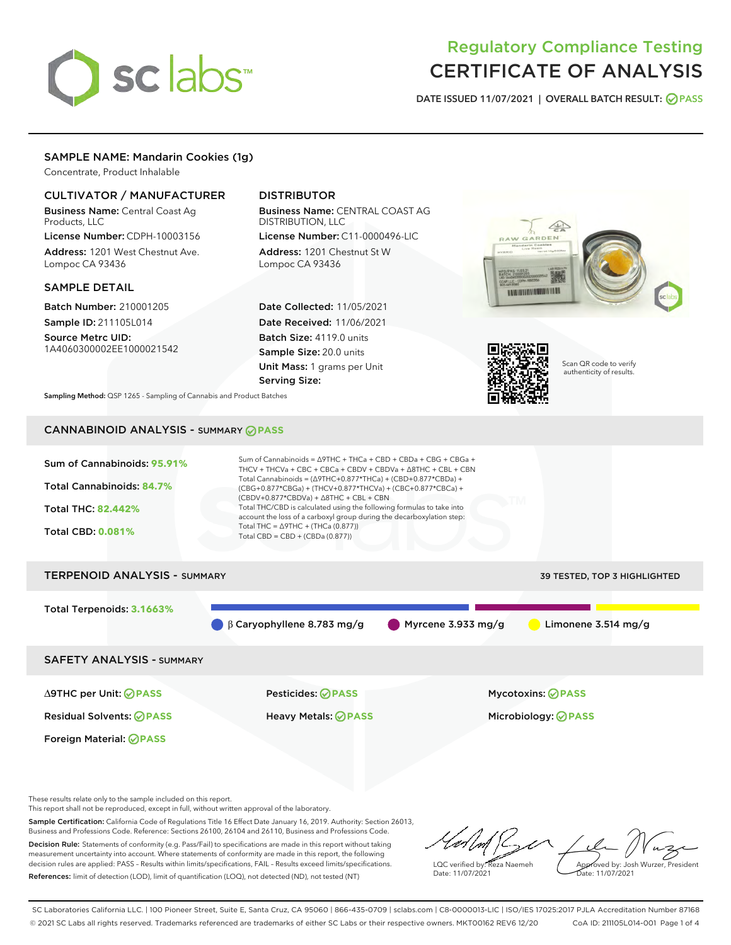# sclabs<sup>\*</sup>

# Regulatory Compliance Testing CERTIFICATE OF ANALYSIS

DATE ISSUED 11/07/2021 | OVERALL BATCH RESULT: @ PASS

# SAMPLE NAME: Mandarin Cookies (1g)

Concentrate, Product Inhalable

# CULTIVATOR / MANUFACTURER

Business Name: Central Coast Ag Products, LLC

License Number: CDPH-10003156 Address: 1201 West Chestnut Ave. Lompoc CA 93436

# SAMPLE DETAIL

Batch Number: 210001205 Sample ID: 211105L014

Source Metrc UID: 1A4060300002EE1000021542

# DISTRIBUTOR

Business Name: CENTRAL COAST AG DISTRIBUTION, LLC License Number: C11-0000496-LIC

Address: 1201 Chestnut St W Lompoc CA 93436

Date Collected: 11/05/2021 Date Received: 11/06/2021 Batch Size: 4119.0 units Sample Size: 20.0 units Unit Mass: 1 grams per Unit Serving Size:





Scan QR code to verify authenticity of results.

Sampling Method: QSP 1265 - Sampling of Cannabis and Product Batches

# CANNABINOID ANALYSIS - SUMMARY **PASS**



These results relate only to the sample included on this report.

This report shall not be reproduced, except in full, without written approval of the laboratory.

Sample Certification: California Code of Regulations Title 16 Effect Date January 16, 2019. Authority: Section 26013, Business and Professions Code. Reference: Sections 26100, 26104 and 26110, Business and Professions Code. Decision Rule: Statements of conformity (e.g. Pass/Fail) to specifications are made in this report without taking measurement uncertainty into account. Where statements of conformity are made in this report, the following

decision rules are applied: PASS – Results within limits/specifications, FAIL – Results exceed limits/specifications. References: limit of detection (LOD), limit of quantification (LOQ), not detected (ND), not tested (NT)

LQC verified by: Reza Naemeh Date: 11/07/2021 Approved by: Josh Wurzer, President Date: 11/07/2021

SC Laboratories California LLC. | 100 Pioneer Street, Suite E, Santa Cruz, CA 95060 | 866-435-0709 | sclabs.com | C8-0000013-LIC | ISO/IES 17025:2017 PJLA Accreditation Number 87168 © 2021 SC Labs all rights reserved. Trademarks referenced are trademarks of either SC Labs or their respective owners. MKT00162 REV6 12/20 CoA ID: 211105L014-001 Page 1 of 4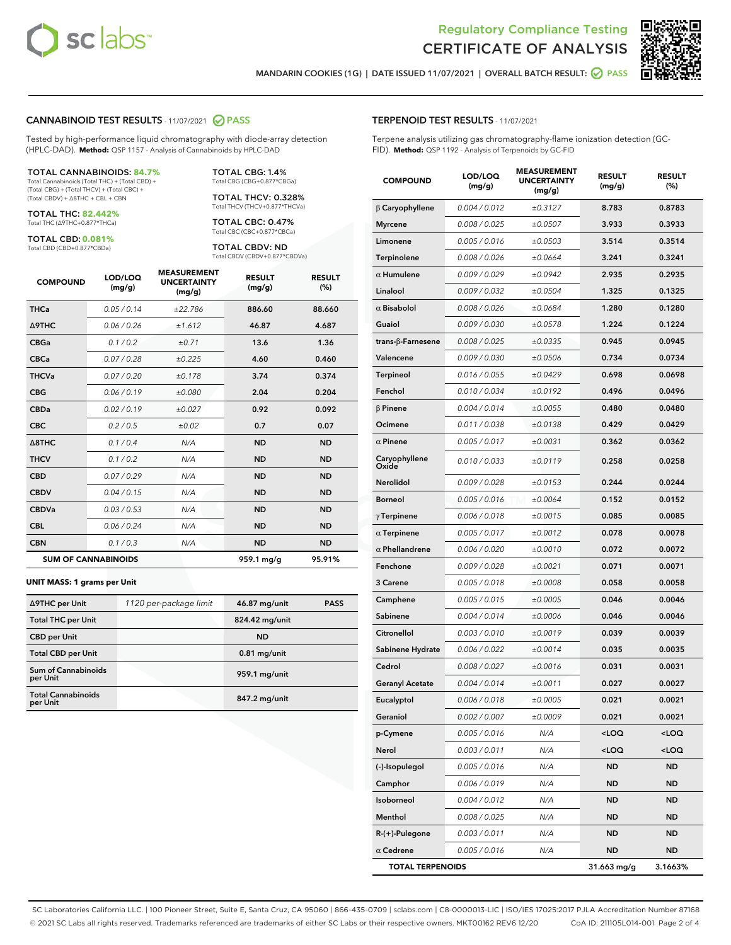



MANDARIN COOKIES (1G) | DATE ISSUED 11/07/2021 | OVERALL BATCH RESULT: @ PASS

#### CANNABINOID TEST RESULTS - 11/07/2021 2 PASS

Tested by high-performance liquid chromatography with diode-array detection (HPLC-DAD). **Method:** QSP 1157 - Analysis of Cannabinoids by HPLC-DAD

#### TOTAL CANNABINOIDS: **84.7%**

Total Cannabinoids (Total THC) + (Total CBD) + (Total CBG) + (Total THCV) + (Total CBC) + (Total CBDV) + ∆8THC + CBL + CBN

TOTAL THC: **82.442%** Total THC (∆9THC+0.877\*THCa)

TOTAL CBD: **0.081%**

Total CBD (CBD+0.877\*CBDa)

TOTAL CBG: 1.4% Total CBG (CBG+0.877\*CBGa)

TOTAL THCV: 0.328% Total THCV (THCV+0.877\*THCVa)

TOTAL CBC: 0.47% Total CBC (CBC+0.877\*CBCa)

TOTAL CBDV: ND Total CBDV (CBDV+0.877\*CBDVa)

| <b>COMPOUND</b>            | LOD/LOQ<br>(mg/g) | <b>MEASUREMENT</b><br><b>UNCERTAINTY</b><br>(mg/g) | <b>RESULT</b><br>(mg/g) | <b>RESULT</b><br>(%) |
|----------------------------|-------------------|----------------------------------------------------|-------------------------|----------------------|
| <b>THCa</b>                | 0.05/0.14         | ±22.786                                            | 886.60                  | 88.660               |
| <b>A9THC</b>               | 0.06 / 0.26       | ±1.612                                             | 46.87                   | 4.687                |
| <b>CBGa</b>                | 0.1/0.2           | ±0.71                                              | 13.6                    | 1.36                 |
| <b>CBCa</b>                | 0.07 / 0.28       | ±0.225                                             | 4.60                    | 0.460                |
| <b>THCVa</b>               | 0.07/0.20         | ±0.178                                             | 3.74                    | 0.374                |
| <b>CBG</b>                 | 0.06/0.19         | ±0.080                                             | 2.04                    | 0.204                |
| <b>CBDa</b>                | 0.02/0.19         | ±0.027                                             | 0.92                    | 0.092                |
| <b>CBC</b>                 | 0.2 / 0.5         | ±0.02                                              | 0.7                     | 0.07                 |
| A8THC                      | 0.1 / 0.4         | N/A                                                | <b>ND</b>               | <b>ND</b>            |
| <b>THCV</b>                | 0.1 / 0.2         | N/A                                                | <b>ND</b>               | <b>ND</b>            |
| <b>CBD</b>                 | 0.07/0.29         | N/A                                                | <b>ND</b>               | <b>ND</b>            |
| <b>CBDV</b>                | 0.04 / 0.15       | N/A                                                | <b>ND</b>               | <b>ND</b>            |
| <b>CBDVa</b>               | 0.03 / 0.53       | N/A                                                | <b>ND</b>               | <b>ND</b>            |
| <b>CBL</b>                 | 0.06 / 0.24       | N/A                                                | <b>ND</b>               | <b>ND</b>            |
| <b>CBN</b>                 | 0.1/0.3           | N/A                                                | <b>ND</b>               | <b>ND</b>            |
| <b>SUM OF CANNABINOIDS</b> |                   |                                                    | 959.1 mg/g              | 95.91%               |

#### **UNIT MASS: 1 grams per Unit**

| ∆9THC per Unit                         | 1120 per-package limit | 46.87 mg/unit  | <b>PASS</b> |
|----------------------------------------|------------------------|----------------|-------------|
| <b>Total THC per Unit</b>              |                        | 824.42 mg/unit |             |
| <b>CBD</b> per Unit                    |                        | <b>ND</b>      |             |
| <b>Total CBD per Unit</b>              |                        | $0.81$ mg/unit |             |
| <b>Sum of Cannabinoids</b><br>per Unit |                        | 959.1 mg/unit  |             |
| <b>Total Cannabinoids</b><br>per Unit  |                        | 847.2 mg/unit  |             |

#### TERPENOID TEST RESULTS - 11/07/2021

Terpene analysis utilizing gas chromatography-flame ionization detection (GC-FID). **Method:** QSP 1192 - Analysis of Terpenoids by GC-FID

| <b>COMPOUND</b>           | LOD/LOQ<br>(mg/g) | <b>MEASUREMENT</b><br><b>UNCERTAINTY</b><br>(mg/g) | <b>RESULT</b><br>(mg/g)                         | <b>RESULT</b><br>(%) |
|---------------------------|-------------------|----------------------------------------------------|-------------------------------------------------|----------------------|
| $\beta$ Caryophyllene     | 0.004 / 0.012     | ±0.3127                                            | 8.783                                           | 0.8783               |
| <b>Myrcene</b>            | 0.008 / 0.025     | ±0.0507                                            | 3.933                                           | 0.3933               |
| Limonene                  | 0.005 / 0.016     | ±0.0503                                            | 3.514                                           | 0.3514               |
| Terpinolene               | 0.008 / 0.026     | ±0.0664                                            | 3.241                                           | 0.3241               |
| $\alpha$ Humulene         | 0.009/0.029       | ±0.0942                                            | 2.935                                           | 0.2935               |
| Linalool                  | 0.009 / 0.032     | ±0.0504                                            | 1.325                                           | 0.1325               |
| $\alpha$ Bisabolol        | 0.008 / 0.026     | ±0.0684                                            | 1.280                                           | 0.1280               |
| Guaiol                    | 0.009 / 0.030     | ±0.0578                                            | 1.224                                           | 0.1224               |
| trans- $\beta$ -Farnesene | 0.008 / 0.025     | ±0.0335                                            | 0.945                                           | 0.0945               |
| Valencene                 | 0.009 / 0.030     | ±0.0506                                            | 0.734                                           | 0.0734               |
| Terpineol                 | 0.016 / 0.055     | ±0.0429                                            | 0.698                                           | 0.0698               |
| Fenchol                   | 0.010 / 0.034     | ±0.0192                                            | 0.496                                           | 0.0496               |
| $\beta$ Pinene            | 0.004 / 0.014     | ±0.0055                                            | 0.480                                           | 0.0480               |
| Ocimene                   | 0.011 / 0.038     | ±0.0138                                            | 0.429                                           | 0.0429               |
| $\alpha$ Pinene           | 0.005 / 0.017     | ±0.0031                                            | 0.362                                           | 0.0362               |
| Caryophyllene<br>Oxide    | 0.010 / 0.033     | ±0.0119                                            | 0.258                                           | 0.0258               |
| <b>Nerolidol</b>          | 0.009 / 0.028     | ±0.0153                                            | 0.244                                           | 0.0244               |
| <b>Borneol</b>            | 0.005 / 0.016     | ±0.0064                                            | 0.152                                           | 0.0152               |
| $\gamma$ Terpinene        | 0.006 / 0.018     | ±0.0015                                            | 0.085                                           | 0.0085               |
| $\alpha$ Terpinene        | 0.005 / 0.017     | ±0.0012                                            | 0.078                                           | 0.0078               |
| $\alpha$ Phellandrene     | 0.006 / 0.020     | ±0.0010                                            | 0.072                                           | 0.0072               |
| Fenchone                  | 0.009 / 0.028     | ±0.0021                                            | 0.071                                           | 0.0071               |
| 3 Carene                  | 0.005 / 0.018     | ±0.0008                                            | 0.058                                           | 0.0058               |
| Camphene                  | 0.005 / 0.015     | ±0.0005                                            | 0.046                                           | 0.0046               |
| Sabinene                  | 0.004 / 0.014     | ±0.0006                                            | 0.046                                           | 0.0046               |
| Citronellol               | 0.003 / 0.010     | ±0.0019                                            | 0.039                                           | 0.0039               |
| Sabinene Hydrate          | 0.006 / 0.022     | ±0.0014                                            | 0.035                                           | 0.0035               |
| Cedrol                    | 0.008 / 0.027     | ±0.0016                                            | 0.031                                           | 0.0031               |
| <b>Geranyl Acetate</b>    | 0.004 / 0.014     | ±0.0011                                            | 0.027                                           | 0.0027               |
| Eucalyptol                | 0.006 / 0.018     | ±0.0005                                            | 0.021                                           | 0.0021               |
| Geraniol                  | 0.002 / 0.007     | ±0.0009                                            | 0.021                                           | 0.0021               |
| p-Cymene                  | 0.005 / 0.016     | N/A                                                | <loq< th=""><th><loq< th=""></loq<></th></loq<> | <loq< th=""></loq<>  |
| Nerol                     | 0.003 / 0.011     | N/A                                                | <loq< th=""><th><loq< th=""></loq<></th></loq<> | <loq< th=""></loq<>  |
| (-)-Isopulegol            | 0.005 / 0.016     | N/A                                                | ND                                              | ND                   |
| Camphor                   | 0.006 / 0.019     | N/A                                                | ND                                              | ND                   |
| Isoborneol                | 0.004 / 0.012     | N/A                                                | <b>ND</b>                                       | ND                   |
| Menthol                   | 0.008 / 0.025     | N/A                                                | ND                                              | ND                   |
| R-(+)-Pulegone            | 0.003 / 0.011     | N/A                                                | ND                                              | ND                   |
| $\alpha$ Cedrene          | 0.005 / 0.016     | N/A                                                | <b>ND</b>                                       | ND                   |
| <b>TOTAL TERPENOIDS</b>   |                   |                                                    | 31.663 mg/g                                     | 3.1663%              |

SC Laboratories California LLC. | 100 Pioneer Street, Suite E, Santa Cruz, CA 95060 | 866-435-0709 | sclabs.com | C8-0000013-LIC | ISO/IES 17025:2017 PJLA Accreditation Number 87168 © 2021 SC Labs all rights reserved. Trademarks referenced are trademarks of either SC Labs or their respective owners. MKT00162 REV6 12/20 CoA ID: 211105L014-001 Page 2 of 4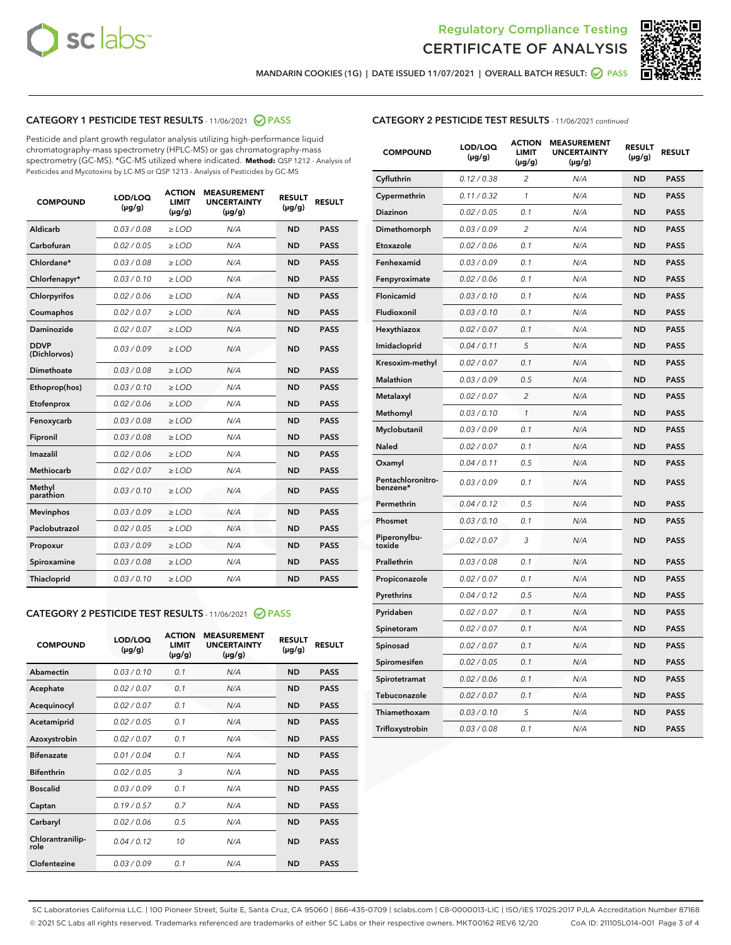



MANDARIN COOKIES (1G) | DATE ISSUED 11/07/2021 | OVERALL BATCH RESULT: @ PASS

# CATEGORY 1 PESTICIDE TEST RESULTS - 11/06/2021 2 PASS

Pesticide and plant growth regulator analysis utilizing high-performance liquid chromatography-mass spectrometry (HPLC-MS) or gas chromatography-mass spectrometry (GC-MS). \*GC-MS utilized where indicated. **Method:** QSP 1212 - Analysis of Pesticides and Mycotoxins by LC-MS or QSP 1213 - Analysis of Pesticides by GC-MS

| <b>COMPOUND</b>             | LOD/LOQ<br>$(\mu g/g)$ | <b>ACTION</b><br><b>LIMIT</b><br>$(\mu g/g)$ | <b>MEASUREMENT</b><br><b>UNCERTAINTY</b><br>$(\mu g/g)$ | <b>RESULT</b><br>$(\mu g/g)$ | <b>RESULT</b> |
|-----------------------------|------------------------|----------------------------------------------|---------------------------------------------------------|------------------------------|---------------|
| Aldicarb                    | 0.03 / 0.08            | $\ge$ LOD                                    | N/A                                                     | <b>ND</b>                    | <b>PASS</b>   |
| Carbofuran                  | 0.02 / 0.05            | $\ge$ LOD                                    | N/A                                                     | <b>ND</b>                    | <b>PASS</b>   |
| Chlordane*                  | 0.03 / 0.08            | $\ge$ LOD                                    | N/A                                                     | <b>ND</b>                    | <b>PASS</b>   |
| Chlorfenapyr*               | 0.03/0.10              | $\ge$ LOD                                    | N/A                                                     | <b>ND</b>                    | <b>PASS</b>   |
| Chlorpyrifos                | 0.02 / 0.06            | $\ge$ LOD                                    | N/A                                                     | <b>ND</b>                    | <b>PASS</b>   |
| Coumaphos                   | 0.02 / 0.07            | $\ge$ LOD                                    | N/A                                                     | <b>ND</b>                    | <b>PASS</b>   |
| Daminozide                  | 0.02 / 0.07            | $\ge$ LOD                                    | N/A                                                     | <b>ND</b>                    | <b>PASS</b>   |
| <b>DDVP</b><br>(Dichlorvos) | 0.03/0.09              | $>$ LOD                                      | N/A                                                     | <b>ND</b>                    | <b>PASS</b>   |
| Dimethoate                  | 0.03 / 0.08            | $\ge$ LOD                                    | N/A                                                     | <b>ND</b>                    | <b>PASS</b>   |
| Ethoprop(hos)               | 0.03/0.10              | $>$ LOD                                      | N/A                                                     | <b>ND</b>                    | <b>PASS</b>   |
| Etofenprox                  | 0.02 / 0.06            | $\ge$ LOD                                    | N/A                                                     | <b>ND</b>                    | <b>PASS</b>   |
| Fenoxycarb                  | 0.03 / 0.08            | $\ge$ LOD                                    | N/A                                                     | <b>ND</b>                    | <b>PASS</b>   |
| Fipronil                    | 0.03 / 0.08            | $\ge$ LOD                                    | N/A                                                     | <b>ND</b>                    | <b>PASS</b>   |
| Imazalil                    | 0.02 / 0.06            | $>$ LOD                                      | N/A                                                     | <b>ND</b>                    | <b>PASS</b>   |
| <b>Methiocarb</b>           | 0.02 / 0.07            | $\ge$ LOD                                    | N/A                                                     | <b>ND</b>                    | <b>PASS</b>   |
| Methyl<br>parathion         | 0.03/0.10              | $\ge$ LOD                                    | N/A                                                     | <b>ND</b>                    | <b>PASS</b>   |
| <b>Mevinphos</b>            | 0.03/0.09              | $\ge$ LOD                                    | N/A                                                     | <b>ND</b>                    | <b>PASS</b>   |
| Paclobutrazol               | 0.02 / 0.05            | $>$ LOD                                      | N/A                                                     | <b>ND</b>                    | <b>PASS</b>   |
| Propoxur                    | 0.03/0.09              | $\ge$ LOD                                    | N/A                                                     | <b>ND</b>                    | <b>PASS</b>   |
| Spiroxamine                 | 0.03 / 0.08            | $\ge$ LOD                                    | N/A                                                     | <b>ND</b>                    | <b>PASS</b>   |
| Thiacloprid                 | 0.03/0.10              | $\ge$ LOD                                    | N/A                                                     | <b>ND</b>                    | <b>PASS</b>   |

# CATEGORY 2 PESTICIDE TEST RESULTS - 11/06/2021 @ PASS

| <b>COMPOUND</b>          | LOD/LOO<br>$(\mu g/g)$ | <b>ACTION</b><br>LIMIT<br>$(\mu g/g)$ | <b>MEASUREMENT</b><br><b>UNCERTAINTY</b><br>$(\mu g/g)$ | <b>RESULT</b><br>$(\mu g/g)$ | <b>RESULT</b> |
|--------------------------|------------------------|---------------------------------------|---------------------------------------------------------|------------------------------|---------------|
| Abamectin                | 0.03/0.10              | 0.1                                   | N/A                                                     | <b>ND</b>                    | <b>PASS</b>   |
| Acephate                 | 0.02/0.07              | 0.1                                   | N/A                                                     | <b>ND</b>                    | <b>PASS</b>   |
| Acequinocyl              | 0.02/0.07              | 0.1                                   | N/A                                                     | <b>ND</b>                    | <b>PASS</b>   |
| Acetamiprid              | 0.02/0.05              | 0.1                                   | N/A                                                     | <b>ND</b>                    | <b>PASS</b>   |
| Azoxystrobin             | 0.02/0.07              | 0.1                                   | N/A                                                     | <b>ND</b>                    | <b>PASS</b>   |
| <b>Bifenazate</b>        | 0.01 / 0.04            | 0.1                                   | N/A                                                     | <b>ND</b>                    | <b>PASS</b>   |
| <b>Bifenthrin</b>        | 0.02 / 0.05            | 3                                     | N/A                                                     | <b>ND</b>                    | <b>PASS</b>   |
| <b>Boscalid</b>          | 0.03/0.09              | 0.1                                   | N/A                                                     | <b>ND</b>                    | <b>PASS</b>   |
| Captan                   | 0.19/0.57              | 0.7                                   | N/A                                                     | <b>ND</b>                    | <b>PASS</b>   |
| Carbaryl                 | 0.02/0.06              | 0.5                                   | N/A                                                     | <b>ND</b>                    | <b>PASS</b>   |
| Chlorantranilip-<br>role | 0.04/0.12              | 10                                    | N/A                                                     | <b>ND</b>                    | <b>PASS</b>   |
| Clofentezine             | 0.03/0.09              | 0.1                                   | N/A                                                     | <b>ND</b>                    | <b>PASS</b>   |

| <b>COMPOUND</b>               | LOD/LOQ<br>(µg/g) | <b>ACTION</b><br>LIMIT<br>$(\mu g/g)$ | <b>MEASUREMENT</b><br><b>UNCERTAINTY</b><br>$(\mu g/g)$ | <b>RESULT</b><br>(µg/g) | <b>RESULT</b> |
|-------------------------------|-------------------|---------------------------------------|---------------------------------------------------------|-------------------------|---------------|
| Cyfluthrin                    | 0.12 / 0.38       | 2                                     | N/A                                                     | ND                      | <b>PASS</b>   |
| Cypermethrin                  | 0.11 / 0.32       | 1                                     | N/A                                                     | ND                      | <b>PASS</b>   |
| Diazinon                      | 0.02 / 0.05       | 0.1                                   | N/A                                                     | ND                      | <b>PASS</b>   |
| Dimethomorph                  | 0.03 / 0.09       | 2                                     | N/A                                                     | ND                      | <b>PASS</b>   |
| Etoxazole                     | 0.02 / 0.06       | 0.1                                   | N/A                                                     | ND                      | <b>PASS</b>   |
| Fenhexamid                    | 0.03 / 0.09       | 0.1                                   | N/A                                                     | ND                      | <b>PASS</b>   |
| Fenpyroximate                 | 0.02 / 0.06       | 0.1                                   | N/A                                                     | <b>ND</b>               | <b>PASS</b>   |
| Flonicamid                    | 0.03 / 0.10       | 0.1                                   | N/A                                                     | <b>ND</b>               | <b>PASS</b>   |
| Fludioxonil                   | 0.03 / 0.10       | 0.1                                   | N/A                                                     | ND                      | <b>PASS</b>   |
| Hexythiazox                   | 0.02 / 0.07       | 0.1                                   | N/A                                                     | <b>ND</b>               | <b>PASS</b>   |
| Imidacloprid                  | 0.04 / 0.11       | 5                                     | N/A                                                     | ND                      | <b>PASS</b>   |
| Kresoxim-methyl               | 0.02 / 0.07       | 0.1                                   | N/A                                                     | ND                      | <b>PASS</b>   |
| Malathion                     | 0.03 / 0.09       | 0.5                                   | N/A                                                     | <b>ND</b>               | <b>PASS</b>   |
| Metalaxyl                     | 0.02 / 0.07       | $\overline{2}$                        | N/A                                                     | <b>ND</b>               | <b>PASS</b>   |
| Methomyl                      | 0.03 / 0.10       | $\mathcal{I}$                         | N/A                                                     | ND                      | <b>PASS</b>   |
| Myclobutanil                  | 0.03 / 0.09       | 0.1                                   | N/A                                                     | <b>ND</b>               | <b>PASS</b>   |
| <b>Naled</b>                  | 0.02 / 0.07       | 0.1                                   | N/A                                                     | ND                      | <b>PASS</b>   |
| Oxamyl                        | 0.04 / 0.11       | 0.5                                   | N/A                                                     | ND                      | <b>PASS</b>   |
| Pentachloronitro-<br>benzene* | 0.03 / 0.09       | 0.1                                   | N/A                                                     | ND                      | <b>PASS</b>   |
| Permethrin                    | 0.04 / 0.12       | 0.5                                   | N/A                                                     | ND                      | <b>PASS</b>   |
| Phosmet                       | 0.03 / 0.10       | 0.1                                   | N/A                                                     | ND                      | <b>PASS</b>   |
| Piperonylbu-<br>toxide        | 0.02 / 0.07       | 3                                     | N/A                                                     | <b>ND</b>               | <b>PASS</b>   |
| Prallethrin                   | 0.03 / 0.08       | 0.1                                   | N/A                                                     | ND                      | <b>PASS</b>   |
| Propiconazole                 | 0.02 / 0.07       | 0.1                                   | N/A                                                     | <b>ND</b>               | <b>PASS</b>   |
| Pyrethrins                    | 0.04 / 0.12       | 0.5                                   | N/A                                                     | <b>ND</b>               | <b>PASS</b>   |
| Pyridaben                     | 0.02 / 0.07       | 0.1                                   | N/A                                                     | ND                      | <b>PASS</b>   |
| Spinetoram                    | 0.02 / 0.07       | 0.1                                   | N/A                                                     | ND                      | <b>PASS</b>   |
| Spinosad                      | 0.02 / 0.07       | 0.1                                   | N/A                                                     | ND                      | <b>PASS</b>   |
| Spiromesifen                  | 0.02 / 0.05       | 0.1                                   | N/A                                                     | ND                      | <b>PASS</b>   |
| Spirotetramat                 | 0.02 / 0.06       | 0.1                                   | N/A                                                     | <b>ND</b>               | <b>PASS</b>   |
| Tebuconazole                  | 0.02 / 0.07       | 0.1                                   | N/A                                                     | ND                      | <b>PASS</b>   |
| Thiamethoxam                  | 0.03 / 0.10       | 5                                     | N/A                                                     | ND                      | <b>PASS</b>   |
| Trifloxystrobin               | 0.03 / 0.08       | 0.1                                   | N/A                                                     | ND                      | <b>PASS</b>   |

SC Laboratories California LLC. | 100 Pioneer Street, Suite E, Santa Cruz, CA 95060 | 866-435-0709 | sclabs.com | C8-0000013-LIC | ISO/IES 17025:2017 PJLA Accreditation Number 87168 © 2021 SC Labs all rights reserved. Trademarks referenced are trademarks of either SC Labs or their respective owners. MKT00162 REV6 12/20 CoA ID: 211105L014-001 Page 3 of 4